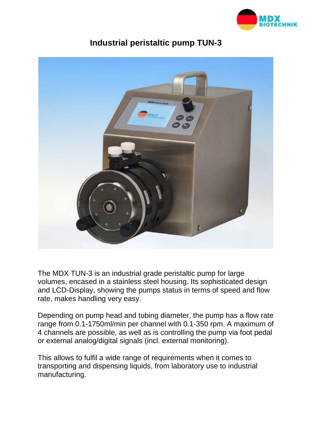



## **Industrial peristaltic pump TUN-3**

The MDX TUN-3 is an industrial grade peristaltic pump for large volumes, encased in a stainless steel housing. Its sophisticated design and LCD-Display, showing the pumps status in terms of speed and flow rate, makes handling very easy.

Depending on pump head and tubing diameter, the pump has a flow rate range from 0.1-1750ml/min per channel with 0.1-350 rpm. A maximum of 4 channels are possible, as well as is controlling the pump via foot pedal or external analog/digital signals (incl. external monitoring).

This allows to fulfil a wide range of requirements when it comes to transporting and dispensing liquids, from laboratory use to industrial manufacturing.